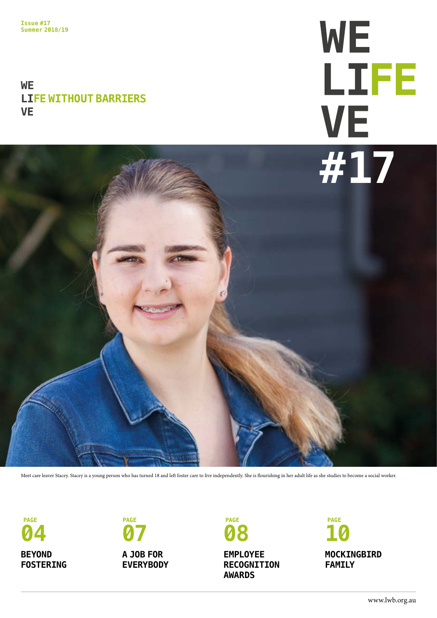#### **WE LIFE WITHOUT BARRIERS VE**

# **WE** LIFE **#17**



Meet care leaver Stacey. Stacey is a young person who has turned 18 and left foster care to live independently. She is flourishing in her adult life as she studies to become a social worker.

**04 BEYOND FOSTERING**



**A JOB FOR EVERYBODY** **08**

**EMPLOYEE RECOGNITION AWARDS**

**10 MOCKINGBIRD FAMILY**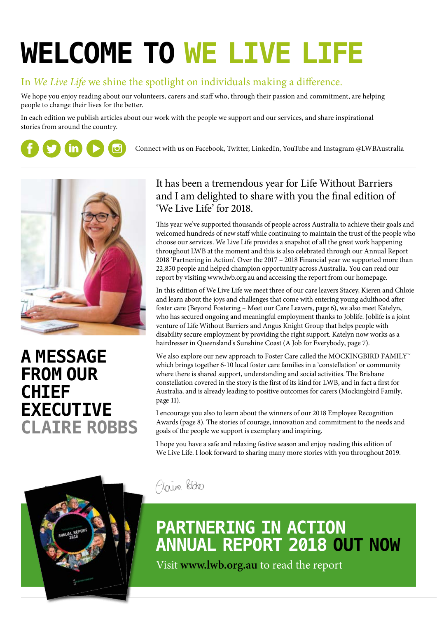## **WELCOME TO WE LIVE LIFE**

#### In *We Live Life* we shine the spotlight on individuals making a difference.

We hope you enjoy reading about our volunteers, carers and staff who, through their passion and commitment, are helping people to change their lives for the better.

In each edition we publish articles about our work with the people we support and our services, and share inspirational stories from around the country.



Connect with us on Facebook, Twitter, LinkedIn, YouTube and Instagram @LWBAustralia



### **A MESSAGE FROM OUR CHIEF EXECUTIVE CLAIRE ROBBS**



#### It has been a tremendous year for Life Without Barriers and I am delighted to share with you the final edition of 'We Live Life' for 2018.

This year we've supported thousands of people across Australia to achieve their goals and welcomed hundreds of new staff while continuing to maintain the trust of the people who choose our services. We Live Life provides a snapshot of all the great work happening throughout LWB at the moment and this is also celebrated through our Annual Report 2018 'Partnering in Action'. Over the 2017 – 2018 Financial year we supported more than 22,850 people and helped champion opportunity across Australia. You can read our report by visiting www.lwb.org.au and accessing the report from our homepage.

In this edition of We Live Life we meet three of our care leavers Stacey, Kieren and Chloie and learn about the joys and challenges that come with entering young adulthood after foster care (Beyond Fostering – Meet our Care Leavers, page 6), we also meet Katelyn, who has secured ongoing and meaningful employment thanks to Joblife. Joblife is a joint venture of Life Without Barriers and Angus Knight Group that helps people with disability secure employment by providing the right support. Katelyn now works as a hairdresser in Queensland's Sunshine Coast (A Job for Everybody, page 7).

We also explore our new approach to Foster Care called the MOCKINGBIRD FAMILY™ which brings together 6-10 local foster care families in a 'constellation' or community where there is shared support, understanding and social activities. The Brisbane constellation covered in the story is the first of its kind for LWB, and in fact a first for Australia, and is already leading to positive outcomes for carers (Mockingbird Family, page 11).

I encourage you also to learn about the winners of our 2018 Employee Recognition Awards (page 8). The stories of courage, innovation and commitment to the needs and goals of the people we support is exemplary and inspiring.

I hope you have a safe and relaxing festive season and enjoy reading this edition of We Live Life. I look forward to sharing many more stories with you throughout 2019.

Plaine Robbis

### **PARTNERING IN ACTION ANNUAL REPORT 2018 OUT NOW**

Visit **www.lwb.org.au** to read the report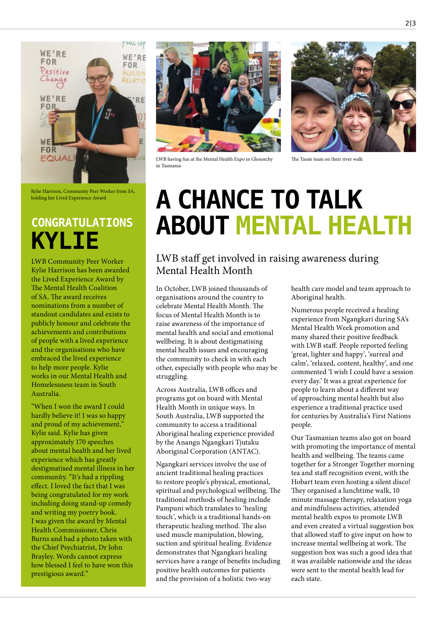

Kylie Harrison, Community Peer Worker from SA, holding her Lived Experience Award

LWB Community Peer Worker Kylie Harrison has been awarded the Lived Experience Award by The Mental Health Coalition of SA. The award receives nominations from a number of standout candidates and exists to publicly honour and celebrate the achievements and contributions of people with a lived experience and the organisations who have embraced the lived experience to help more people. Kylie works in our Mental Health and Homelessness team in South Australia.

"When I won the award I could hardly believe it! I was so happy and proud of my achievement," Kylie said. Kylie has given approximately 170 speeches about mental health and her lived experience which has greatly destigmatised mental illness in her community. "It's had a rippling effect. I loved the fact that I was being congratulated for my work including doing stand-up comedy and writing my poetry book. I was given the award by Mental Health Commissioner, Chris Burns and had a photo taken with the Chief Psychiatrist, Dr John Brayley. Words cannot express how blessed I feel to have won this prestigious award."



LWB having fun at the Mental Health Expo in Glenorchy in Tasmania



The Tassie team on their river walk

## **A CHANCE TO TALK CONGRATULATIONS ABOUT MENTAL HEALTH KYLIE**

#### LWB staff get involved in raising awareness during Mental Health Month

In October, LWB joined thousands of organisations around the country to celebrate Mental Health Month. The focus of Mental Health Month is to raise awareness of the importance of mental health and social and emotional wellbeing. It is about destigmatising mental health issues and encouraging the community to check in with each other, especially with people who may be struggling.

Across Australia, LWB offices and programs got on board with Mental Health Month in unique ways. In South Australia, LWB supported the community to access a traditional Aboriginal healing experience provided by the Anangu Ngangkari Tjutaku Aboriginal Corporation (ANTAC).

Ngangkari services involve the use of ancient traditional healing practices to restore people's physical, emotional, spiritual and psychological wellbeing. The traditional methods of healing include Pampuni which translates to 'healing touch', which is a traditional hands-on therapeutic healing method. The also used muscle manipulation, blowing, suction and spiritual healing. Evidence demonstrates that Ngangkari healing services have a range of benefits including positive health outcomes for patients and the provision of a holistic two-way

health care model and team approach to Aboriginal health.

Numerous people received a healing experience from Ngangkari during SA's Mental Health Week promotion and many shared their positive feedback with LWB staff. People reported feeling 'great, lighter and happy', 'surreal and calm', 'relaxed, content, healthy', and one commented 'I wish I could have a session every day.' It was a great experience for people to learn about a different way of approaching mental health but also experience a traditional practice used for centuries by Australia's First Nations people.

Our Tasmanian teams also got on board with promoting the importance of mental health and wellbeing. The teams came together for a Stronger Together morning tea and staff recognition event, with the Hobart team even hosting a silent disco! They organised a lunchtime walk, 10 minute massage therapy, relaxation yoga and mindfulness activities, attended mental health expos to promote LWB and even created a virtual suggestion box that allowed staff to give input on how to increase mental wellbeing at work. The suggestion box was such a good idea that it was available nationwide and the ideas were sent to the mental health lead for each state.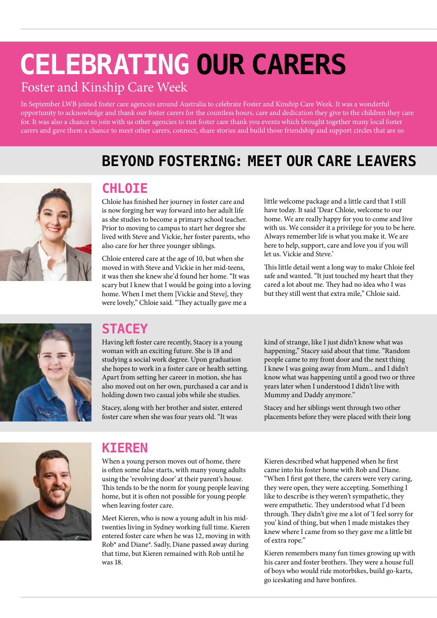## **CELEBRATING OUR CARERS**

#### Foster and Kinship Care Week

In September LWB joined foster care agencies around Australia to celebrate Foster and Kinship Care Week. It was a wonderful opportunity to acknowledge and thank our foster carers for the countless hours, care and dedication they give to the children they care for. It was also a chance to join with us other agencies to run foster care thank you events which brought together many local foster carers and gave them a chance to meet other carers, connect, share stories and build those friendship and support circles that are so

### **BEYOND FOSTERING: MEET OUR CARE LEAVERS**



#### **CHLOIE**

Chloie has finished her journey in foster care and is now forging her way forward into her adult life as she studies to become a primary school teacher. Prior to moving to campus to start her degree she lived with Steve and Vickie, her foster parents, who also care for her three younger siblings.

Chloie entered care at the age of 10, but when she moved in with Steve and Vickie in her mid-teens, it was then she knew she'd found her home. "It was scary but I knew that I would be going into a loving home. When I met them [Vickie and Steve], they were lovely," Chloie said. "They actually gave me a

little welcome package and a little card that I still have today. It said 'Dear Chloie, welcome to our home. We are really happy for you to come and live with us. We consider it a privilege for you to be here. Always remember life is what you make it. We are here to help, support, care and love you if you will let us. Vickie and Steve.'

This little detail went a long way to make Chloie feel safe and wanted. "It just touched my heart that they cared a lot about me. They had no idea who I was but they still went that extra mile," Chloie said.



### **STACEY**

Having left foster care recently, Stacey is a young woman with an exciting future. She is 18 and studying a social work degree. Upon graduation she hopes to work in a foster care or health setting. Apart from setting her career in motion, she has also moved out on her own, purchased a car and is holding down two casual jobs while she studies.

Stacey, along with her brother and sister, entered foster care when she was four years old. "It was

kind of strange, like I just didn't know what was happening," Stacey said about that time. "Random people came to my front door and the next thing I knew I was going away from Mum... and I didn't know what was happening until a good two or three years later when I understood I didn't live with Mummy and Daddy anymore."

Stacey and her siblings went through two other placements before they were placed with their long



#### **KIEREN**

When a young person moves out of home, there is often some false starts, with many young adults using the 'revolving door' at their parent's house. This tends to be the norm for young people leaving home, but it is often not possible for young people when leaving foster care.

Meet Kieren, who is now a young adult in his midtwenties living in Sydney working full time. Kieren entered foster care when he was 12, moving in with Rob\* and Diane\*. Sadly, Diane passed away during that time, but Kieren remained with Rob until he was 18.

Kieren described what happened when he first came into his foster home with Rob and Diane. "When I first got there, the carers were very caring, they were open, they were accepting. Something I like to describe is they weren't sympathetic, they were empathetic. They understood what I'd been through. They didn't give me a lot of 'I feel sorry for you' kind of thing, but when I made mistakes they knew where I came from so they gave me a little bit of extra rope."

Kieren remembers many fun times growing up with his carer and foster brothers. They were a house full of boys who would ride motorbikes, build go-karts, go iceskating and have bonfires.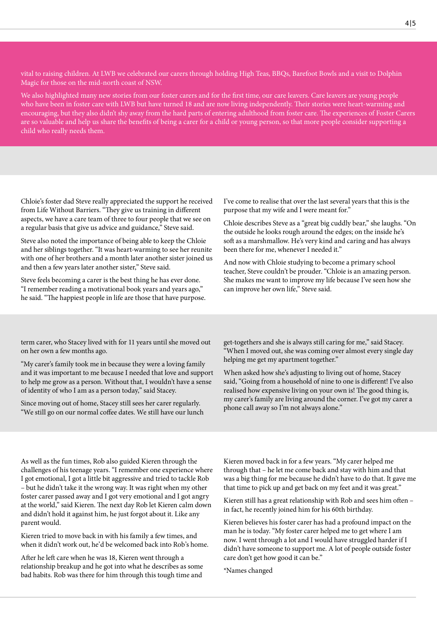vital to raising children. At LWB we celebrated our carers through holding High Teas, BBQs, Barefoot Bowls and a visit to Dolphin Magic for those on the mid-north coast of NSW.

We also highlighted many new stories from our foster carers and for the first time, our care leavers. Care leavers are young people who have been in foster care with LWB but have turned 18 and are now living independently. Their stories were heart-warming and encouraging, but they also didn't shy away from the hard parts of entering adulthood from foster care. The experiences of Foster Carers are so valuable and help us share the benefits of being a carer for a child or young person, so that more people consider supporting a child who really needs them.

Chloie's foster dad Steve really appreciated the support he received from Life Without Barriers. "They give us training in different aspects, we have a care team of three to four people that we see on a regular basis that give us advice and guidance," Steve said.

Steve also noted the importance of being able to keep the Chloie and her siblings together. "It was heart-warming to see her reunite with one of her brothers and a month later another sister joined us and then a few years later another sister," Steve said.

Steve feels becoming a carer is the best thing he has ever done. "I remember reading a motivational book years and years ago," he said. "The happiest people in life are those that have purpose. I've come to realise that over the last several years that this is the purpose that my wife and I were meant for."

Chloie describes Steve as a "great big cuddly bear," she laughs. "On the outside he looks rough around the edges; on the inside he's soft as a marshmallow. He's very kind and caring and has always been there for me, whenever I needed it."

And now with Chloie studying to become a primary school teacher, Steve couldn't be prouder. "Chloie is an amazing person. She makes me want to improve my life because I've seen how she can improve her own life," Steve said.

term carer, who Stacey lived with for 11 years until she moved out on her own a few months ago.

"My carer's family took me in because they were a loving family and it was important to me because I needed that love and support to help me grow as a person. Without that, I wouldn't have a sense of identity of who I am as a person today," said Stacey.

Since moving out of home, Stacey still sees her carer regularly. "We still go on our normal coffee dates. We still have our lunch

get-togethers and she is always still caring for me," said Stacey. "When I moved out, she was coming over almost every single day helping me get my apartment together."

When asked how she's adjusting to living out of home, Stacey said, "Going from a household of nine to one is different! I've also realised how expensive living on your own is! The good thing is, my carer's family are living around the corner. I've got my carer a phone call away so I'm not always alone."

As well as the fun times, Rob also guided Kieren through the challenges of his teenage years. "I remember one experience where I got emotional, I got a little bit aggressive and tried to tackle Rob – but he didn't take it the wrong way. It was right when my other foster carer passed away and I got very emotional and I got angry at the world," said Kieren. The next day Rob let Kieren calm down and didn't hold it against him, he just forgot about it. Like any parent would.

Kieren tried to move back in with his family a few times, and when it didn't work out, he'd be welcomed back into Rob's home.

After he left care when he was 18, Kieren went through a relationship breakup and he got into what he describes as some bad habits. Rob was there for him through this tough time and

Kieren moved back in for a few years. "My carer helped me through that – he let me come back and stay with him and that was a big thing for me because he didn't have to do that. It gave me that time to pick up and get back on my feet and it was great."

Kieren still has a great relationship with Rob and sees him often – in fact, he recently joined him for his 60th birthday.

Kieren believes his foster carer has had a profound impact on the man he is today. "My foster carer helped me to get where I am now. I went through a lot and I would have struggled harder if I didn't have someone to support me. A lot of people outside foster care don't get how good it can be."

\*Names changed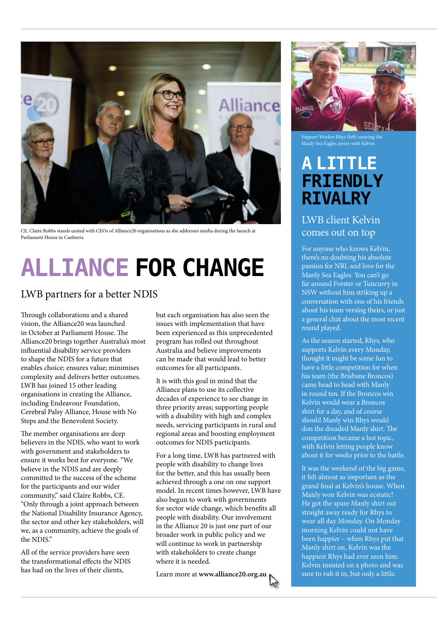

CE, Claire Robbs stands united with CEOs of Alliance20 organisations as she addresses media during the launch at Parliament House in Canberra

## **ALLIANCE FOR CHANGE**

#### LWB partners for a better NDIS

Through collaborations and a shared vision, the Alliance20 was launched in October at Parliament House. The Alliance20 brings together Australia's most influential disability service providers to shape the NDIS for a future that enables choice; ensures value; minimises complexity and delivers better outcomes. LWB has joined 15 other leading organisations in creating the Alliance, including Endeavour Foundation, Cerebral Palsy Alliance, House with No Steps and the Benevolent Society.

The member organisations are deep believers in the NDIS, who want to work with government and stakeholders to ensure it works best for everyone. "We believe in the NDIS and are deeply committed to the success of the scheme for the participants and our wider community," said Claire Robbs, CE. "Only through a joint approach between the National Disability Insurance Agency, the sector and other key stakeholders, will we, as a community, achieve the goals of the NDIS."

All of the service providers have seen the transformational effects the NDIS has had on the lives of their clients,

but each organisation has also seen the issues with implementation that have been experienced as this unprecedented program has rolled out throughout Australia and believe improvements can be made that would lead to better outcomes for all participants.

It is with this goal in mind that the Alliance plans to use its collective decades of experience to see change in three priority areas; supporting people with a disability with high and complex needs, servicing participants in rural and regional areas and boosting employment outcomes for NDIS participants.

For a long time, LWB has partnered with people with disability to change lives for the better, and this has usually been achieved through a one on one support model. In recent times however, LWB have also begun to work with governments for sector wide change, which benefits all people with disability. Our involvement in the Alliance 20 is just one part of our broader work in public policy and we will continue to work in partnership with stakeholders to create change where it is needed.

Learn more at **www.alliance20.org.au**



Support Worker Rhys (left) wearing the Manly Sea Eagles jersey with Kelvin

### **A LITTLE FRIENDLY RIVALRY**

LWB client Kelvin comes out on top

For anyone who knows Kelvin, there's no doubting his absolute passion for NRL and love for the Manly Sea Eagles. You can't go far around Forster or Tuncurry in NSW without him striking up a conversation with one of his friends about his team versing theirs, or just a general chat about the most recent round played.

As the season started, Rhys, who supports Kelvin every Monday, thought it might be some fun to have a little competition for when his team (the Brisbane Broncos) came head to head with Manly in round ten. If the Broncos win Kelvin would wear a Broncos shirt for a day, and of course should Manly win Rhys would don the dreaded Manly shirt. The competition became a hot topic, with Kelvin letting people know about it for weeks prior to the battle.

It was the weekend of the big game, it felt almost as important as the grand final at Kelvin's house. When Manly won Kelvin was ecstatic! He got the spare Manly shirt out straight away ready for Rhys to wear all day Monday. On Monday morning Kelvin could not have been happier – when Rhys put that Manly shirt on, Kelvin was the happiest Rhys had ever seen him. Kelvin insisted on a photo and was sure to rub it in, but only a little.

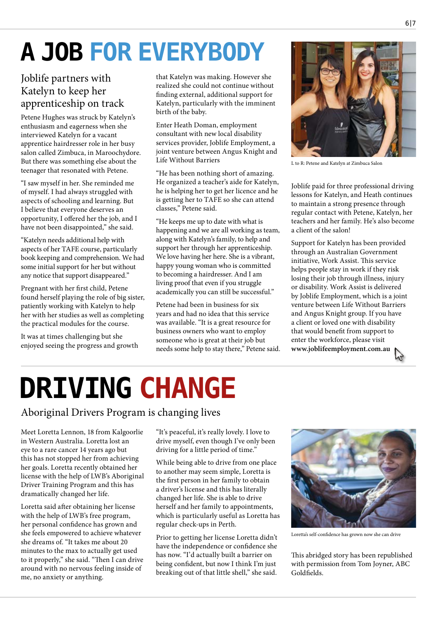## **A JOB FOR EVERYBODY**

#### Joblife partners with Katelyn to keep her apprenticeship on track

Petene Hughes was struck by Katelyn's enthusiasm and eagerness when she interviewed Katelyn for a vacant apprentice hairdresser role in her busy salon called Zimbuca, in Maroochydore. But there was something else about the teenager that resonated with Petene.

"I saw myself in her. She reminded me of myself. I had always struggled with aspects of schooling and learning. But I believe that everyone deserves an opportunity, I offered her the job, and I have not been disappointed," she said.

"Katelyn needs additional help with aspects of her TAFE course, particularly book keeping and comprehension. We had some initial support for her but without any notice that support disappeared."

Pregnant with her first child, Petene found herself playing the role of big sister, patiently working with Katelyn to help her with her studies as well as completing the practical modules for the course.

It was at times challenging but she enjoyed seeing the progress and growth that Katelyn was making. However she realized she could not continue without finding external, additional support for Katelyn, particularly with the imminent birth of the baby.

Enter Heath Doman, employment consultant with new local disability services provider, Joblife Employment, a joint venture between Angus Knight and Life Without Barriers

"He has been nothing short of amazing. He organized a teacher's aide for Katelyn, he is helping her to get her licence and he is getting her to TAFE so she can attend classes," Petene said.

"He keeps me up to date with what is happening and we are all working as team, along with Katelyn's family, to help and support her through her apprenticeship. We love having her here. She is a vibrant, happy young woman who is committed to becoming a hairdresser. And I am living proof that even if you struggle academically you can still be successful."

Petene had been in business for six years and had no idea that this service was available. "It is a great resource for business owners who want to employ someone who is great at their job but needs some help to stay there," Petene said.



L to R: Petene and Katelyn at Zimbuca Salon

Joblife paid for three professional driving lessons for Katelyn, and Heath continues to maintain a strong presence through regular contact with Petene, Katelyn, her teachers and her family. He's also become a client of the salon!

Support for Katelyn has been provided through an Australian Government initiative, Work Assist. This service helps people stay in work if they risk losing their job through illness, injury or disability. Work Assist is delivered by Joblife Employment, which is a joint venture between Life Without Barriers and Angus Knight group. If you have a client or loved one with disability that would benefit from support to enter the workforce, please visit **www.joblifeemployment.com.au**



## **DRIVING CHANGE**

Aboriginal Drivers Program is changing lives

Meet Loretta Lennon, 18 from Kalgoorlie in Western Australia. Loretta lost an eye to a rare cancer 14 years ago but this has not stopped her from achieving her goals. Loretta recently obtained her license with the help of LWB's Aboriginal Driver Training Program and this has dramatically changed her life.

Loretta said after obtaining her license with the help of LWB's free program, her personal confidence has grown and she feels empowered to achieve whatever she dreams of. "It takes me about 20 minutes to the max to actually get used to it properly," she said. "Then I can drive around with no nervous feeling inside of me, no anxiety or anything.

"It's peaceful, it's really lovely. I love to drive myself, even though I've only been driving for a little period of time."

While being able to drive from one place to another may seem simple, Loretta is the first person in her family to obtain a driver's license and this has literally changed her life. She is able to drive herself and her family to appointments, which is particularly useful as Loretta has regular check-ups in Perth.

Prior to getting her license Loretta didn't have the independence or confidence she has now. "I'd actually built a barrier on being confident, but now I think I'm just breaking out of that little shell," she said.



Loretta's self-confidence has grown now she can drive

This abridged story has been republished with permission from Tom Joyner, ABC Goldfields.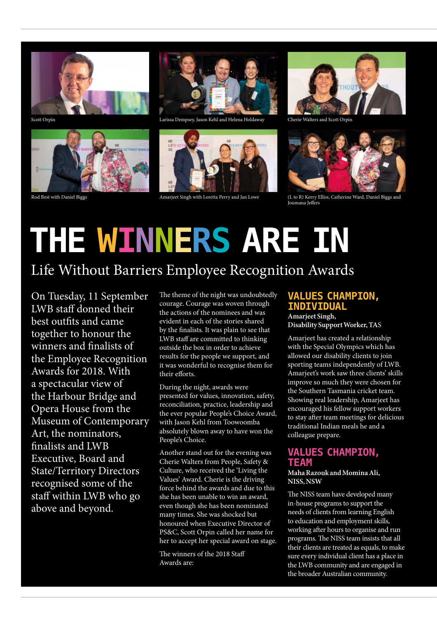





Scott Orpin Larissa Dempsey, Jason Kehl and Helena Holdaway



Rod Best with Daniel Biggs **Amarjeet Singh with Loretta Perry and Jan Low** 



Cherie Walters and Scott Orpin



(L to R) Kerry Elliss, Catherine Ward, Daniel Biggs and Joumana Jeffers

## **THE WINNERS ARE IN**

### Life Without Barriers Employee Recognition Awards

On Tuesday, 11 September LWB staff donned their best outfits and came together to honour the winners and finalists of the Employee Recognition Awards for 2018. With a spectacular view of the Harbour Bridge and Opera House from the Museum of Contemporary Art, the nominators, finalists and LWB Executive, Board and State/Territory Directors recognised some of the staff within LWB who go above and beyond.

The theme of the night was undoubtedly courage. Courage was woven through the actions of the nominees and was evident in each of the stories shared by the finalists. It was plain to see that LWB staff are committed to thinking outside the box in order to achieve results for the people we support, and it was wonderful to recognise them for their efforts.

During the night, awards were presented for values, innovation, safety, reconciliation, practice, leadership and the ever popular People's Choice Award, with Jason Kehl from Toowoomba absolutely blown away to have won the People's Choice.

Another stand out for the evening was Cherie Walters from People, Safety & Culture, who received the 'Living the Values' Award. Cherie is the driving force behind the awards and due to this she has been unable to win an award, even though she has been nominated many times. She was shocked but honoured when Executive Director of PS&C, Scott Orpin called her name for her to accept her special award on stage.

The winners of the 2018 Staff Awards are:

#### **VALUES CHAMPION, INDIVIDUAL**

**Amarjeet Singh, Disability Support Worker, TA**S

Amarjeet has created a relationship with the Special Olympics which has allowed our disability clients to join sporting teams independently of LWB. Amarjeet's work saw three clients' skills improve so much they were chosen for the Southern Tasmania cricket team. Showing real leadership, Amarjeet has encouraged his fellow support workers to stay after team meetings for delicious traditional Indian meals he and a colleague prepare.

#### **VALUES CHAMPION, TEAM**

#### **Maha Razouk and Momina Ali, NISS, NSW**

The NISS team have developed many in-house programs to support the needs of clients from learning English to education and employment skills, working after hours to organise and run programs. The NISS team insists that all their clients are treated as equals, to make sure every individual client has a place in the LWB community and are engaged in the broader Australian community.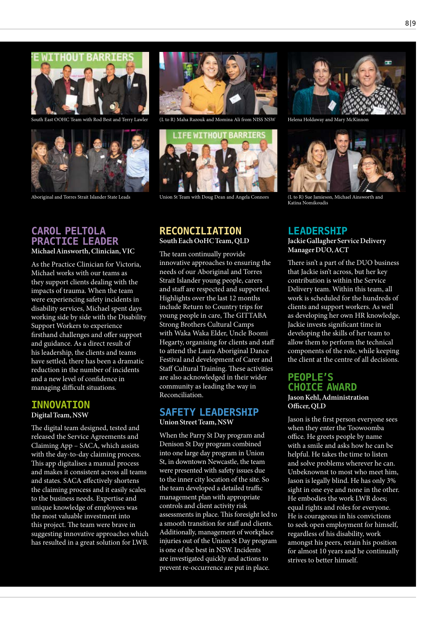#### **ITTHOUT BARRIER**



South East OOHC Team with Rod Best and Terry Lawler



Aboriginal and Torres Strait Islander State Leads



(L to R) Maha Razouk and Momina Ali from NISS NSW Helena Holdaway and Mary McKinnon



Union St Team with Doug Dean and Angela Connors (L to R) Sue Jamieson, Michael Ainsworth and

#### **RECONCILIATION South Each OoHC Team, QLD**

The team continually provide innovative approaches to ensuring the needs of our Aboriginal and Torres Strait Islander young people, carers and staff are respected and supported. Highlights over the last 12 months include Return to Country trips for young people in care, The GITTABA Strong Brothers Cultural Camps with Waka Waka Elder, Uncle Boomi Hegarty, organising for clients and staff to attend the Laura Aboriginal Dance Festival and development of Carer and Staff Cultural Training. These activities are also acknowledged in their wider community as leading the way in Reconciliation.

#### **SAFETY LEADERSHIP**

**Union Street Team, NSW**

When the Parry St Day program and Denison St Day program combined into one large day program in Union St, in downtown Newcastle, the team were presented with safety issues due to the inner city location of the site. So the team developed a detailed traffic management plan with appropriate controls and client activity risk assessments in place. This foresight led to a smooth transition for staff and clients. Additionally, management of workplace injuries out of the Union St Day program is one of the best in NSW. Incidents are investigated quickly and actions to prevent re-occurrence are put in place.





Katina Nomikoudis

#### **LEADERSHIP**

**Jackie Gallagher Service Delivery Manager DUO, ACT** 

There isn't a part of the DUO business that Jackie isn't across, but her key contribution is within the Service Delivery team. Within this team, all work is scheduled for the hundreds of clients and support workers. As well as developing her own HR knowledge, Jackie invests significant time in developing the skills of her team to allow them to perform the technical components of the role, while keeping the client at the centre of all decisions.

#### **PEOPLE'S CHOICE AWARD**

**Jason Kehl, Administration Officer, QLD**

Jason is the first person everyone sees when they enter the Toowoomba office. He greets people by name with a smile and asks how he can be helpful. He takes the time to listen and solve problems wherever he can. Unbeknownst to most who meet him, Jason is legally blind. He has only 3% sight in one eye and none in the other. He embodies the work LWB does; equal rights and roles for everyone. He is courageous in his convictions to seek open employment for himself, regardless of his disability, work amongst his peers, retain his position for almost 10 years and he continually strives to better himself.

#### **CAROL PELTOLA PRACTICE LEADER**

**Michael Ainsworth, Clinician, VIC**

As the Practice Clinician for Victoria, Michael works with our teams as they support clients dealing with the impacts of trauma. When the team were experiencing safety incidents in disability services, Michael spent days working side by side with the Disability Support Workers to experience firsthand challenges and offer support and guidance. As a direct result of his leadership, the clients and teams have settled, there has been a dramatic reduction in the number of incidents and a new level of confidence in managing difficult situations.

#### **INNOVATION Digital Team, NSW**

The digital team designed, tested and released the Service Agreements and Claiming App – SACA, which assists with the day-to-day claiming process. This app digitalises a manual process and makes it consistent across all teams and states. SACA effectively shortens the claiming process and it easily scales to the business needs. Expertise and unique knowledge of employees was the most valuable investment into this project. The team were brave in suggesting innovative approaches which has resulted in a great solution for LWB.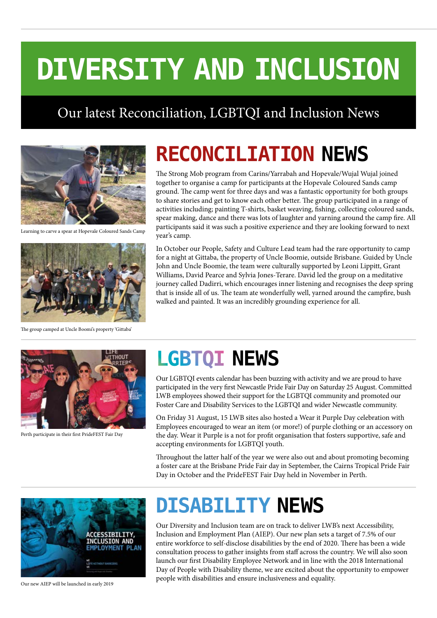## **DIVERSITY AND INCLUSION**

### Our latest Reconciliation, LGBTQI and Inclusion News



Learning to carve a spear at Hopevale Coloured Sands Camp



The group camped at Uncle Boomi's property 'Gittaba'

## **RECONCILIATION NEWS**

The Strong Mob program from Carins/Yarrabah and Hopevale/Wujal Wujal joined together to organise a camp for participants at the Hopevale Coloured Sands camp ground. The camp went for three days and was a fantastic opportunity for both groups to share stories and get to know each other better. The group participated in a range of activities including; painting T-shirts, basket weaving, fishing, collecting coloured sands, spear making, dance and there was lots of laughter and yarning around the camp fire. All participants said it was such a positive experience and they are looking forward to next year's camp.

In October our People, Safety and Culture Lead team had the rare opportunity to camp for a night at Gittaba, the property of Uncle Boomie, outside Brisbane. Guided by Uncle John and Uncle Boomie, the team were culturally supported by Leoni Lippitt, Grant Williams, David Pearce and Sylvia Jones-Terare. David led the group on a meditative journey called Dadirri, which encourages inner listening and recognises the deep spring that is inside all of us. The team ate wonderfully well, yarned around the campfire, bush walked and painted. It was an incredibly grounding experience for all.



Perth participate in their first PrideFEST Fair Day

## **NEWS LGBTQI**

Our LGBTQI events calendar has been buzzing with activity and we are proud to have participated in the very first Newcastle Pride Fair Day on Saturday 25 August. Committed LWB employees showed their support for the LGBTQI community and promoted our Foster Care and Disability Services to the LGBTQI and wider Newcastle community.

On Friday 31 August, 15 LWB sites also hosted a Wear it Purple Day celebration with Employees encouraged to wear an item (or more!) of purple clothing or an accessory on the day. Wear it Purple is a not for profit organisation that fosters supportive, safe and accepting environments for LGBTQI youth.

Throughout the latter half of the year we were also out and about promoting becoming a foster care at the Brisbane Pride Fair day in September, the Cairns Tropical Pride Fair Day in October and the PrideFEST Fair Day held in November in Perth.



Our new AIEP will be launched in early 2019

### **DISABILITY NEWS**

Our Diversity and Inclusion team are on track to deliver LWB's next Accessibility, Inclusion and Employment Plan (AIEP). Our new plan sets a target of 7.5% of our entire workforce to self-disclose disabilities by the end of 2020. There has been a wide consultation process to gather insights from staff across the country. We will also soon launch our first Disability Employee Network and in line with the 2018 International Day of People with Disability theme, we are excited about the opportunity to empower people with disabilities and ensure inclusiveness and equality.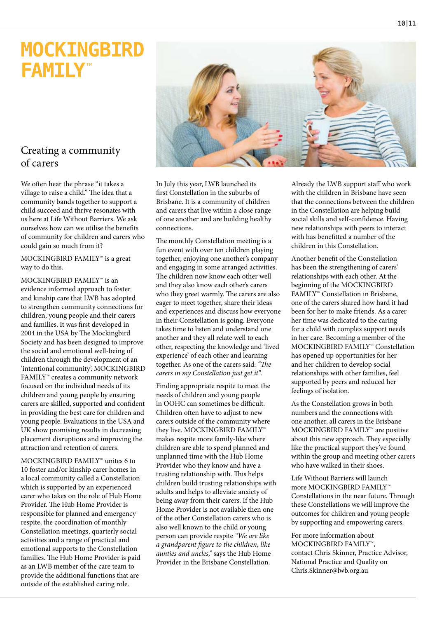### **MOCKINGBIRD FAMILY**™

#### Creating a community of carers

We often hear the phrase "it takes a village to raise a child." The idea that a community bands together to support a child succeed and thrive resonates with us here at Life Without Barriers. We ask ourselves how can we utilise the benefits of community for children and carers who could gain so much from it?

MOCKINGBIRD FAMILY™ is a great way to do this.

MOCKINGBIRD FAMILY™ is an evidence informed approach to foster and kinship care that LWB has adopted to strengthen community connections for children, young people and their carers and families. It was first developed in 2004 in the USA by The Mockingbird Society and has been designed to improve the social and emotional well-being of children through the development of an 'intentional community'. MOCKINGBIRD FAMILY™ creates a community network focused on the individual needs of its children and young people by ensuring carers are skilled, supported and confident in providing the best care for children and young people. Evaluations in the USA and UK show promising results in decreasing placement disruptions and improving the attraction and retention of carers.

MOCKINGBIRD FAMILY™ unites 6 to 10 foster and/or kinship carer homes in a local community called a Constellation which is supported by an experienced carer who takes on the role of Hub Home Provider. The Hub Home Provider is responsible for planned and emergency respite, the coordination of monthly Constellation meetings, quarterly social activities and a range of practical and emotional supports to the Constellation families. The Hub Home Provider is paid as an LWB member of the care team to provide the additional functions that are outside of the established caring role.

In July this year, LWB launched its first Constellation in the suburbs of Brisbane. It is a community of children and carers that live within a close range of one another and are building healthy connections.

The monthly Constellation meeting is a fun event with over ten children playing together, enjoying one another's company and engaging in some arranged activities. The children now know each other well and they also know each other's carers who they greet warmly. The carers are also eager to meet together, share their ideas and experiences and discuss how everyone in their Constellation is going. Everyone takes time to listen and understand one another and they all relate well to each other, respecting the knowledge and 'lived experience' of each other and learning together. As one of the carers said: *"The carers in my Constellation just get it".*

Finding appropriate respite to meet the needs of children and young people in OOHC can sometimes be difficult. Children often have to adjust to new carers outside of the community where they live. MOCKINGBIRD FAMILY™ makes respite more family-like where children are able to spend planned and unplanned time with the Hub Home Provider who they know and have a trusting relationship with. This helps children build trusting relationships with adults and helps to alleviate anxiety of being away from their carers. If the Hub Home Provider is not available then one of the other Constellation carers who is also well known to the child or young person can provide respite *"We are like a grandparent figure to the children, like aunties and uncles,"* says the Hub Home Provider in the Brisbane Constellation.

Already the LWB support staff who work with the children in Brisbane have seen that the connections between the children in the Constellation are helping build social skills and self-confidence. Having new relationships with peers to interact with has benefitted a number of the children in this Constellation.

Another benefit of the Constellation has been the strengthening of carers' relationships with each other. At the beginning of the MOCKINGBIRD FAMILY™ Constellation in Brisbane, one of the carers shared how hard it had been for her to make friends. As a carer her time was dedicated to the caring for a child with complex support needs in her care. Becoming a member of the MOCKINGBIRD FAMILY™ Constellation has opened up opportunities for her and her children to develop social relationships with other families, feel supported by peers and reduced her feelings of isolation.

As the Constellation grows in both numbers and the connections with one another, all carers in the Brisbane MOCKINGBIRD FAMILY™ are positive about this new approach. They especially like the practical support they've found within the group and meeting other carers who have walked in their shoes.

Life Without Barriers will launch more MOCKINGBIRD FAMILY™ Constellations in the near future. Through these Constellations we will improve the outcomes for children and young people by supporting and empowering carers.

For more information about MOCKINGBIRD FAMILY™, contact Chris Skinner, Practice Advisor, National Practice and Quality on Chris.Skinner@lwb.org.au